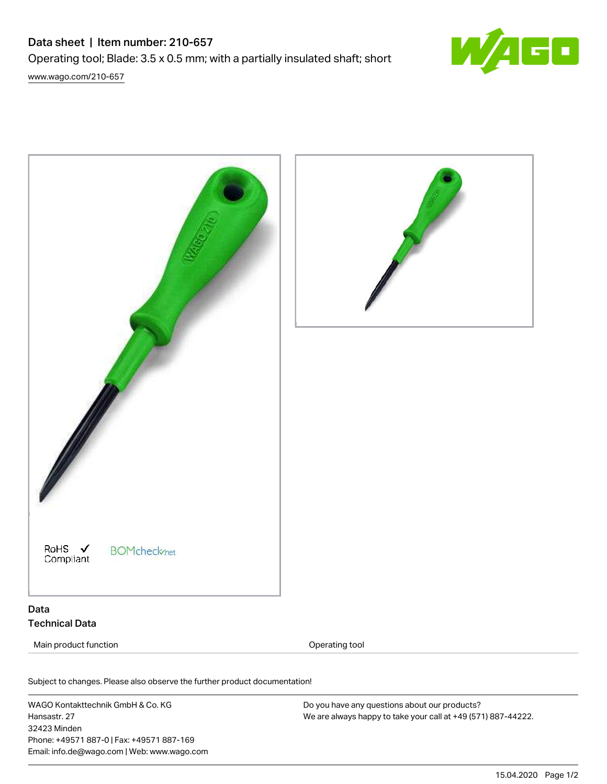# Data sheet | Item number: 210-657 Operating tool; Blade: 3.5 x 0.5 mm; with a partially insulated shaft; short [www.wago.com/210-657](http://www.wago.com/210-657)





# Technical Data

Main product function **Operating tool** Operating tool

Subject to changes. Please also observe the further product documentation! Material Data

WAGO Kontakttechnik GmbH & Co. KG Hansastr. 27 32423 Minden Phone: +49571 887-0 | Fax: +49571 887-169 Email: info.de@wago.com | Web: www.wago.com Do you have any questions about our products? We are always happy to take your call at +49 (571) 887-44222.